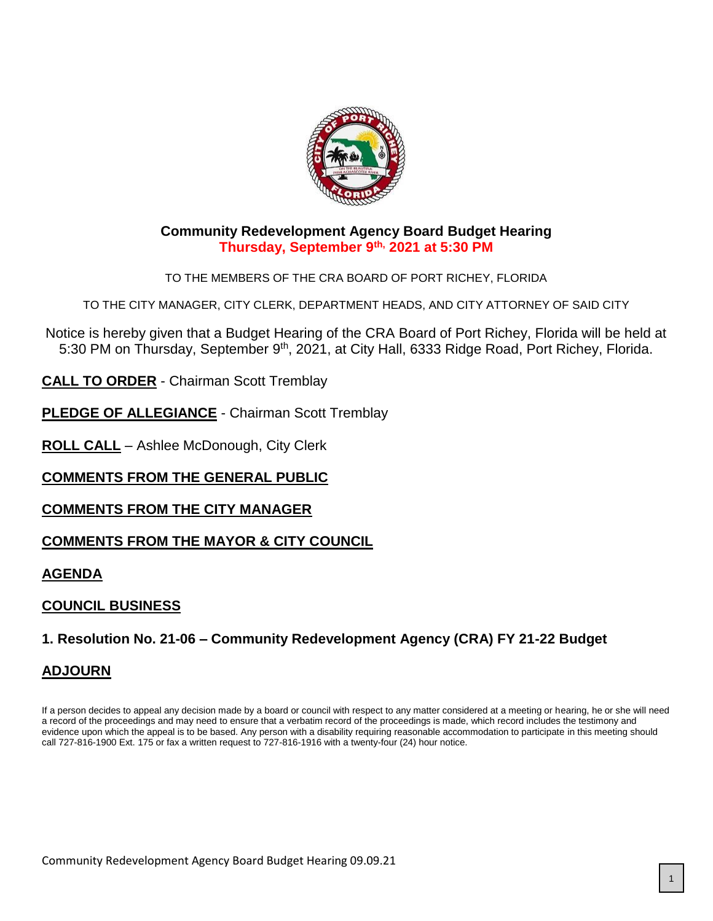

### **Community Redevelopment Agency Board Budget Hearing Thursday, September 9th, 2021 at 5:30 PM**

TO THE MEMBERS OF THE CRA BOARD OF PORT RICHEY, FLORIDA

TO THE CITY MANAGER, CITY CLERK, DEPARTMENT HEADS, AND CITY ATTORNEY OF SAID CITY

Notice is hereby given that a Budget Hearing of the CRA Board of Port Richey, Florida will be held at 5:30 PM on Thursday, September 9<sup>th</sup>, 2021, at City Hall, 6333 Ridge Road, Port Richey, Florida.

**CALL TO ORDER** - Chairman Scott Tremblay

**PLEDGE OF ALLEGIANCE** - Chairman Scott Tremblay

**ROLL CALL** – Ashlee McDonough, City Clerk

## **COMMENTS FROM THE GENERAL PUBLIC**

**COMMENTS FROM THE CITY MANAGER**

### **COMMENTS FROM THE MAYOR & CITY COUNCIL**

**AGENDA**

## **COUNCIL BUSINESS**

## **1. Resolution No. 21-06 – Community Redevelopment Agency (CRA) FY 21-22 Budget**

### **ADJOURN**

If a person decides to appeal any decision made by a board or council with respect to any matter considered at a meeting or hearing, he or she will need a record of the proceedings and may need to ensure that a verbatim record of the proceedings is made, which record includes the testimony and evidence upon which the appeal is to be based. Any person with a disability requiring reasonable accommodation to participate in this meeting should call 727-816-1900 Ext. 175 or fax a written request to 727-816-1916 with a twenty-four (24) hour notice.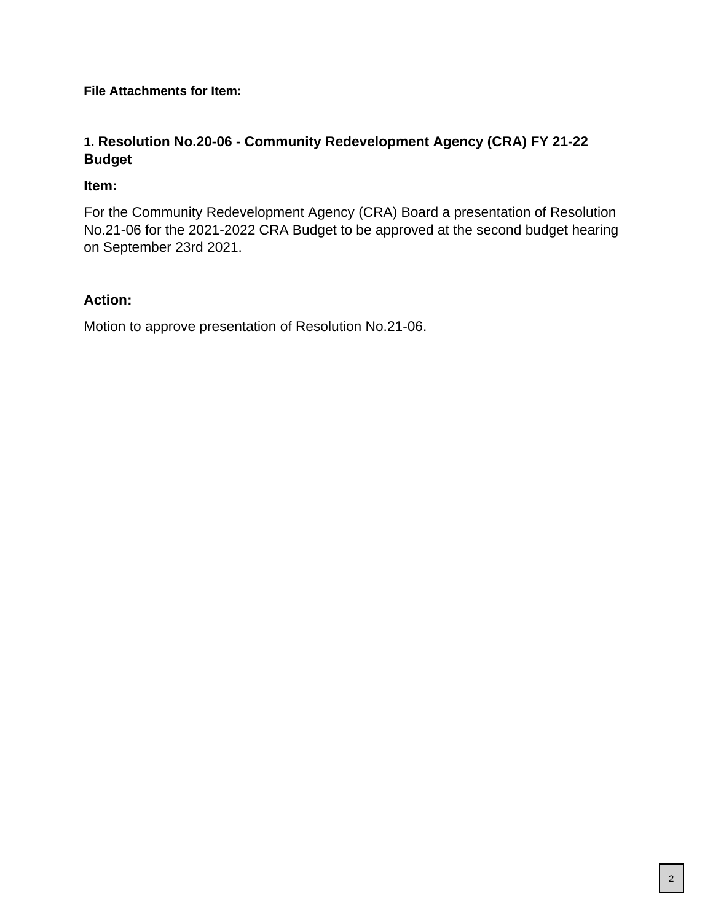**File Attachments for Item:**

# **1. Resolution No.20-06 - Community Redevelopment Agency (CRA) FY 21-22 Budget**

## **Item:**

For the Community Redevelopment Agency (CRA) Board a presentation of Resolution No.21-06 for the 2021-2022 CRA Budget to be approved at the second budget hearing on September 23rd 2021.

## **Action:**

Motion to approve presentation of Resolution No.21-06.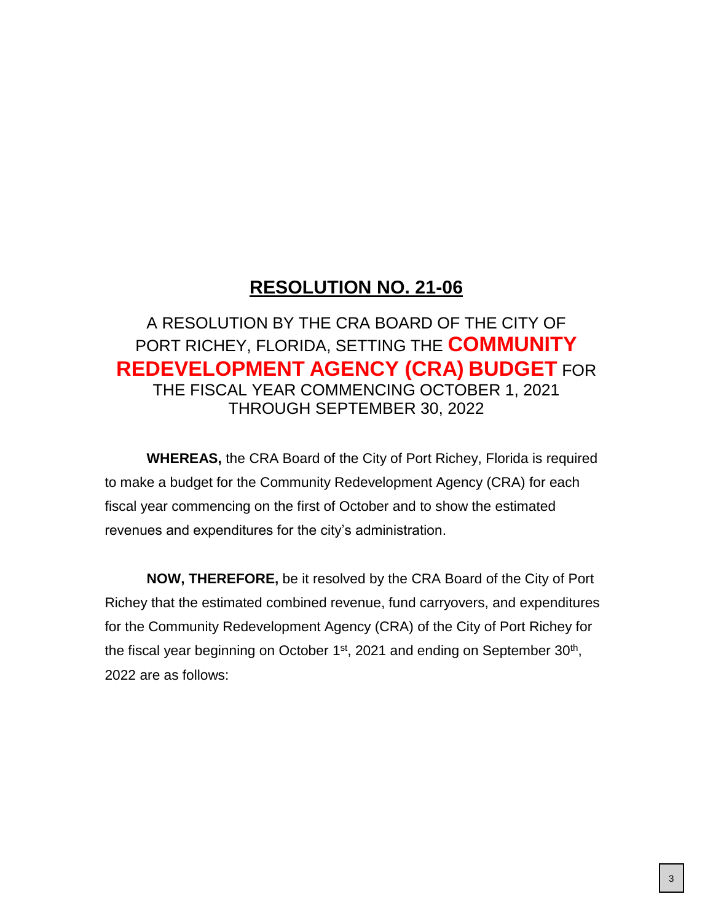# **RESOLUTION NO. 21-06**

# A RESOLUTION BY THE CRA BOARD OF THE CITY OF PORT RICHEY, FLORIDA, SETTING THE **COMMUNITY REDEVELOPMENT AGENCY (CRA) BUDGET** FOR THE FISCAL YEAR COMMENCING OCTOBER 1, 2021 THROUGH SEPTEMBER 30, 2022

**WHEREAS,** the CRA Board of the City of Port Richey, Florida is required to make a budget for the Community Redevelopment Agency (CRA) for each fiscal year commencing on the first of October and to show the estimated revenues and expenditures for the city's administration.

**NOW, THEREFORE,** be it resolved by the CRA Board of the City of Port Richey that the estimated combined revenue, fund carryovers, and expenditures for the Community Redevelopment Agency (CRA) of the City of Port Richey for the fiscal year beginning on October  $1<sup>st</sup>$ , 2021 and ending on September 30<sup>th</sup>, 2022 are as follows: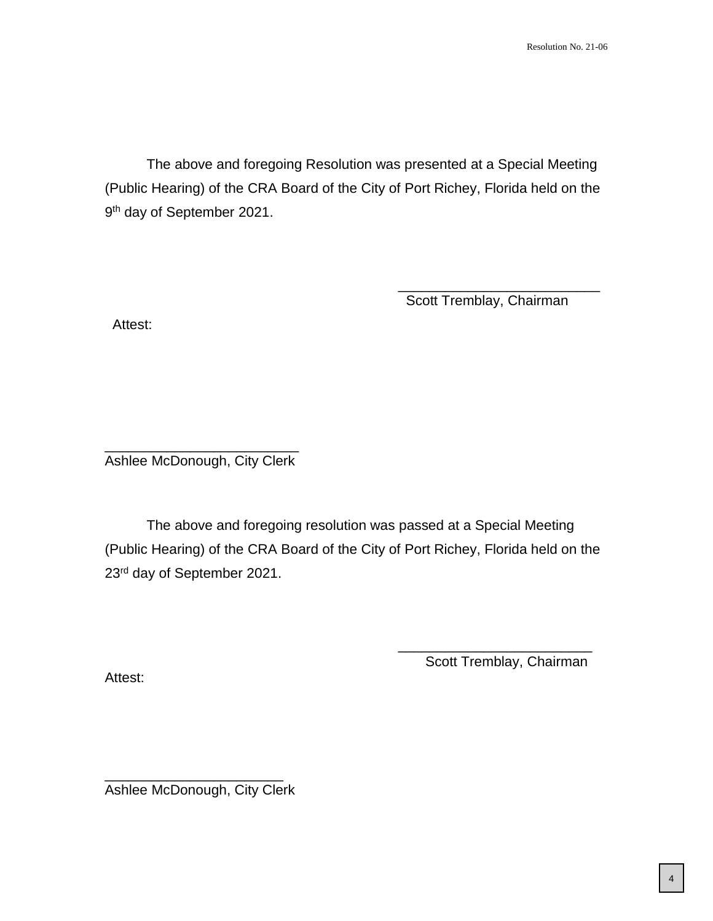The above and foregoing Resolution was presented at a Special Meeting (Public Hearing) of the CRA Board of the City of Port Richey, Florida held on the 9<sup>th</sup> day of September 2021.

Scott Tremblay, Chairman

\_\_\_\_\_\_\_\_\_\_\_\_\_\_\_\_\_\_\_\_\_\_\_\_\_\_

Attest:

\_\_\_\_\_\_\_\_\_\_\_\_\_\_\_\_\_\_\_\_\_\_\_\_\_ Ashlee McDonough, City Clerk

The above and foregoing resolution was passed at a Special Meeting (Public Hearing) of the CRA Board of the City of Port Richey, Florida held on the 23rd day of September 2021.

Attest:

\_\_\_\_\_\_\_\_\_\_\_\_\_\_\_\_\_\_\_\_\_\_\_\_\_ Scott Tremblay, Chairman

\_\_\_\_\_\_\_\_\_\_\_\_\_\_\_\_\_\_\_\_\_\_\_ Ashlee McDonough, City Clerk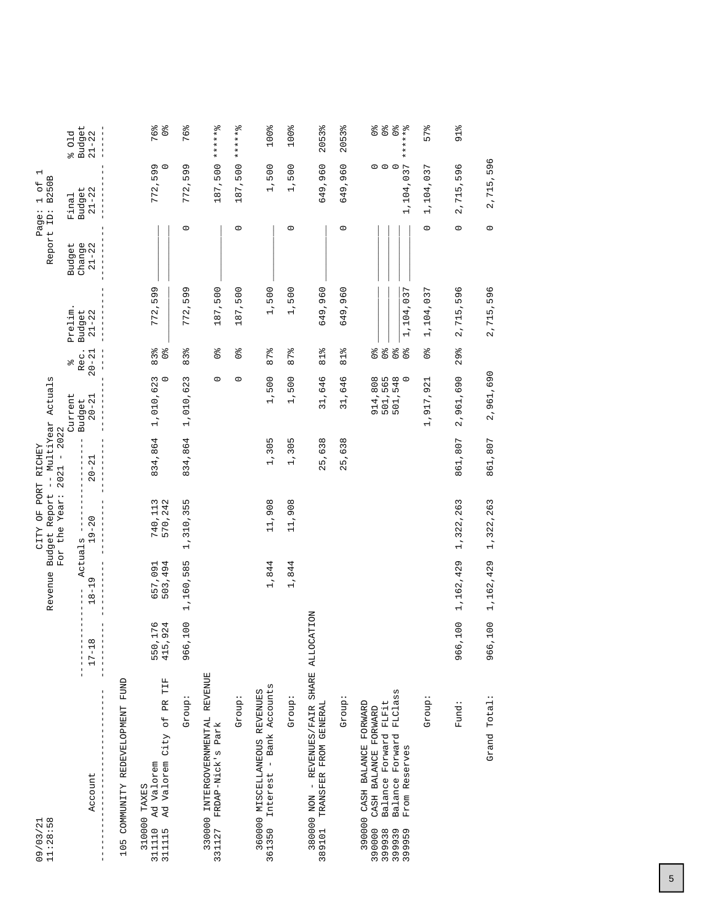| $09/03/21$<br>$11:28:58$                                                                                                                                               |                            | Revenue                              | Budget Report<br>FO<br>O<br><b>CITY</b> | -- MultiYear<br>PORT RICHEY     | Actuals                                  |                                                                                    |                     | Report ID:          | $\overline{\phantom{0}}$<br>B250B<br>$\overline{5}$<br>$\overline{\phantom{0}}$<br>Page: |                                                                                            |
|------------------------------------------------------------------------------------------------------------------------------------------------------------------------|----------------------------|--------------------------------------|-----------------------------------------|---------------------------------|------------------------------------------|------------------------------------------------------------------------------------|---------------------|---------------------|------------------------------------------------------------------------------------------|--------------------------------------------------------------------------------------------|
|                                                                                                                                                                        |                            |                                      | For the Year:                           | 2022<br>$\,$ l<br>2021          | Current                                  | olo                                                                                | Prelim              | Budget              | Final                                                                                    | 01d<br>olo                                                                                 |
| Account                                                                                                                                                                | $\infty$<br>$17 - 1$       | Actuals<br>$\sigma$<br>$18 - 1$<br>T | $19 - 20$                               | $20 - 21$                       | $20 - 21$<br>Budget                      | Rec.<br>$20 - 2$                                                                   | $21 - 22$<br>Budget | Change<br>$21 - 22$ | Budget<br>$21 - 22$                                                                      | <b>Budget</b><br>$21 - 22$                                                                 |
| FUND<br>COMMUNITY REDEVELOPMENT<br>105                                                                                                                                 |                            |                                      |                                         |                                 |                                          |                                                                                    |                     |                     |                                                                                          |                                                                                            |
| TIF<br>Ad Valorem City of PR<br>311110 Ad Valorem<br>310000 TAXES<br>311115                                                                                            | ,176<br>,924<br>550<br>415 | 503,494<br>657,091                   | 740,113<br>570,242                      | 834,864                         | 3<br>$\circ$<br>1,010,62                 | $\frac{1}{2}$<br>$83\frac{8}{6}$                                                   | 599<br>772          |                     | 772,599                                                                                  | 76%<br>$\frac{1}{\sqrt{6}}$                                                                |
| Group                                                                                                                                                                  | ,100<br>966                | 1,160,585                            | 1,310,355                               | 834,864                         | 1,010,623                                | 83%                                                                                | 599<br>772          | $\circ$             | 599<br>772,                                                                              | 76%                                                                                        |
| 330000 INTERGOVERNMENTAL REVENUE<br>331127 FRDAP-Nick's Park                                                                                                           |                            |                                      |                                         |                                 | $\circ$                                  | $\frac{1}{2}$                                                                      | 187,500             |                     | 187,500                                                                                  | ******%                                                                                    |
| Group:                                                                                                                                                                 |                            |                                      |                                         |                                 | $\circ$                                  | $\mathcal{O}^{\mathsf{ob}}$                                                        | 187,500             | $\circ$             | 187,500                                                                                  | $-5 + 4 + 5$<br>$\star$                                                                    |
| Bank Accounts<br>360000 MISCELLANEOUS REVENUES<br>$\overline{1}$<br>361350 Interest                                                                                    |                            | 1,844                                | 11,908                                  | 1,305                           | 1,500                                    | 87%                                                                                | 1,500               |                     | 1,500                                                                                    | 100%                                                                                       |
| : dno.rp                                                                                                                                                               |                            | 1,844                                | 11,908                                  | 1,305                           | 1,500                                    | 87%                                                                                | 1,500               | $\circ$             | 1,500                                                                                    | 100%                                                                                       |
| 380000 NON - REVENUES/FAIR SHARE ALLO<br>TRANSFER FROM GENERAL<br>389101                                                                                               | CATION                     |                                      |                                         | 638<br>$\overline{5}$<br>$\sim$ | 31,646                                   | o/o<br>$\overline{a}$                                                              | 649,960             |                     | 649,960                                                                                  | 2053%                                                                                      |
| :dnox5                                                                                                                                                                 |                            |                                      |                                         | 5,638<br>$\mathbf{\Omega}$      | 31,646                                   | 81%                                                                                | ,960<br>649         | $\circ$             | 649,960                                                                                  | 2053%                                                                                      |
| FLClass<br>Balance Forward FLFit<br>390000 CASH BALANCE FORWARD<br>CASH BALANCE FORWARD<br>Forward<br>From Reserves<br>Balance<br>390000<br>399938<br>399939<br>399959 |                            |                                      |                                         |                                 | 914,808<br>501,565<br>501,548<br>501,548 | $\frac{1}{2}$<br>$\mathcal{O}_\text{O}$<br>$\frac{1}{2}$<br>$\mathcal{O}_\text{Q}$ | 1,104,037           |                     | $\circ$ $\circ$<br>1,104,037                                                             | $\begin{array}{c}\n0 & 0 \\ 0 & 0\n\end{array}$<br>$\frac{1}{\sqrt{6}}$<br>$7 + 7 + 7 + 8$ |
| Group:                                                                                                                                                                 |                            |                                      |                                         |                                 | 1,917,921                                | $\frac{1}{2}$                                                                      | 1,104,037           | $\circ$             | 1,104,037                                                                                | 57%                                                                                        |
| Fund:                                                                                                                                                                  | ,100<br>966                | 1,162,429                            | 1,322,263                               | 861,807                         | 2,961,690                                | 29%                                                                                | 596<br>2,715        | $\circ$             | 596<br>2,715,                                                                            | $91\%$                                                                                     |
| Grand Total:                                                                                                                                                           | ,100<br>966                | 1,162,429                            | 1,322,263                               | 861,807                         | 2,961,690                                |                                                                                    | 2,715,596           | $\circ$             | 2,715,596                                                                                |                                                                                            |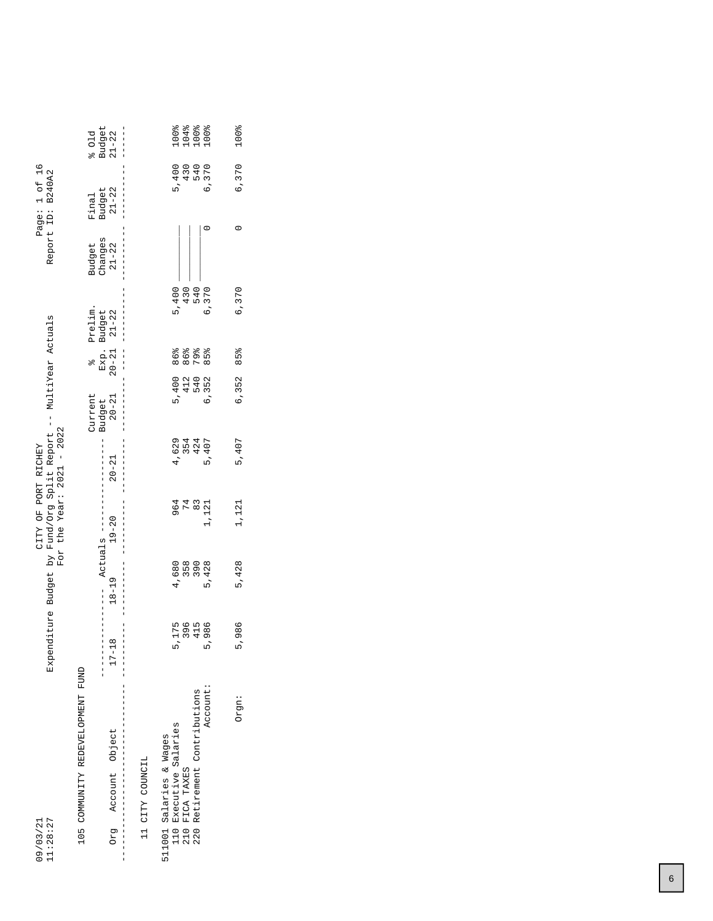| 11:28:27<br>09/03/21                                             |                                        |            | Expenditure Budget by Fund/Org Split Report -- MultiYear Actuals<br>For the Year: $2021 - 2022$<br>CITY OF PORT RICHEY |                                   |                                |                                  |                            |                                | Page: 1 of 16<br>Report ID: B240A2                                                  |                         |
|------------------------------------------------------------------|----------------------------------------|------------|------------------------------------------------------------------------------------------------------------------------|-----------------------------------|--------------------------------|----------------------------------|----------------------------|--------------------------------|-------------------------------------------------------------------------------------|-------------------------|
| 105 COMMUNITY REDEVELOPMENT FUND<br>Account Object<br><b>BJO</b> | $\infty$<br>$17 - 11$<br>$\frac{1}{1}$ | $18 - 19$  | $19 - 20$<br>Actuals --                                                                                                | $20 - 21$                         | Current<br>$20 - 21$<br>Budget | $Exp.$<br>20-21<br>$\frac{1}{2}$ | Prelim.<br>Budget<br>21-22 | Changes<br>$21 - 22$<br>Budget | $\begin{array}{c} \texttt{Budge} \texttt{t} \\ \texttt{21-22} \end{array}$<br>Final | Budget<br>21-22<br>501d |
| II CITY COUNCIL                                                  |                                        |            |                                                                                                                        |                                   |                                |                                  |                            |                                |                                                                                     |                         |
| Executive Salaries<br>511001 Salaries & Wages<br>110             |                                        | 4,680      | 964<br>74                                                                                                              | 4,629                             | 5,400                          | 86%                              | 5,400                      |                                | 5,400                                                                               |                         |
| Retirement Contributions<br>FICA TAXES<br>210<br>220             | 5,175<br>396<br>415                    | 358<br>390 | $\frac{8}{3}$                                                                                                          | 5、4<br>8<br>8<br>9<br>9<br>9<br>9 |                                | 86%<br>79%<br>412<br>540         | 540<br>430                 |                                | 430<br>540                                                                          |                         |
| Account:                                                         | 5,986                                  | 5,428      | 1,121                                                                                                                  |                                   | 6,352                          | $85\frac{8}{9}$                  | 6,370                      |                                | 6,370                                                                               |                         |
| Orgn:                                                            | 5,986                                  | 5,428      | 1,121                                                                                                                  | 5,407                             | 6,352                          | 85%                              | 6,370                      | $\circ$                        | 6,370                                                                               | 100%                    |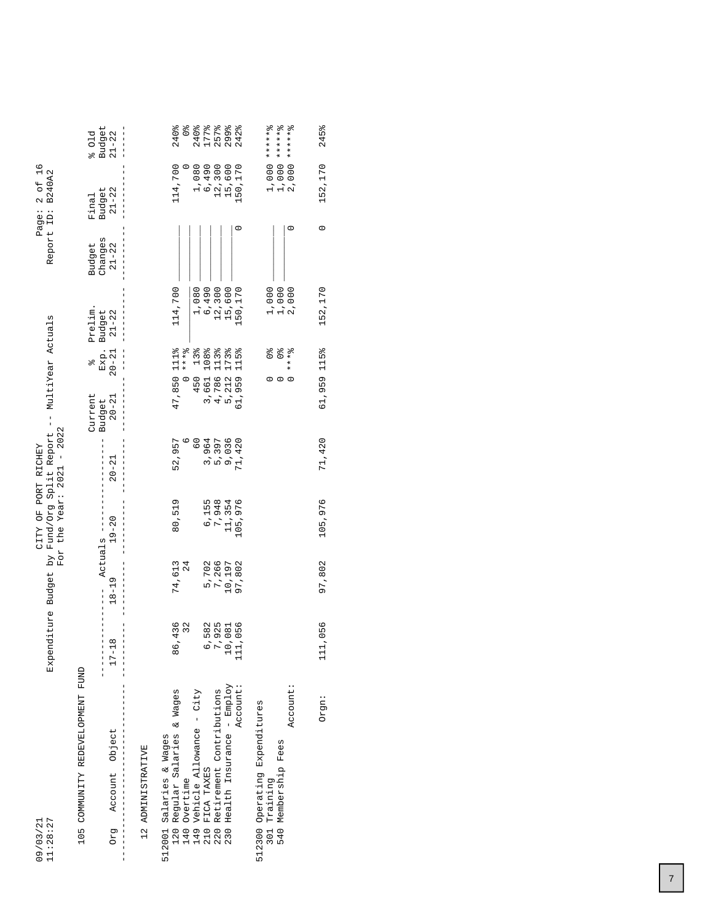| Page: 2 of 16<br>Report ID: B240A2                               | Budget<br>$21 - 22$<br>601d<br>$\begin{array}{c} \texttt{Budge} \texttt{t} \\ \texttt{21-22} \end{array}$<br>Final<br>Budget<br>Changes<br>$21 - 22$<br>Prelim.<br>Budget<br>21-22<br>$Exp.$<br>20-21 | $1,000$ ***** 8<br>$1,000$ ******<br>2,000 *******<br>240%<br>240%<br>242%<br>114,700<br>$\begin{array}{c} 1,080 \\ 6,490 \\ 12,300 \end{array}$<br>15,600<br>50,170<br>1,000<br>2,000<br>114,700<br>12,300<br>15,600<br>50,170<br>1,000<br>1,080<br>6,490<br>$* * * *$<br>13%<br>108%<br>113%<br>173%<br>115%<br>$\frac{1}{2}$           |
|------------------------------------------------------------------|-------------------------------------------------------------------------------------------------------------------------------------------------------------------------------------------------------|-------------------------------------------------------------------------------------------------------------------------------------------------------------------------------------------------------------------------------------------------------------------------------------------------------------------------------------------|
| Expenditure Budget by Fund/Org Split Report -- MultiYear Actuals | olo<br>Current<br>$20 - 21$<br>Budget                                                                                                                                                                 | 47,850 1112%<br>$* * * 2$<br>450<br>4,786<br>5,212<br>3,661<br>61,959<br>$\circ$<br>$\circ$<br>3,964<br>52,957<br>$^{0}_{0}$<br>5,397<br>9,036<br>71,420                                                                                                                                                                                  |
| For the Year: $2021 - 2022$<br>CITY OF PORT RICHEY               | $20 - 21$<br>$19 - 20$<br>Actuals ---                                                                                                                                                                 | 80,519<br>6,155<br>7,948<br>11,354<br>105,976<br>24                                                                                                                                                                                                                                                                                       |
|                                                                  | $18 - 19$<br>$17 - 18$                                                                                                                                                                                | 74,613<br>5,702<br>7,266<br>10,197<br>97,802<br>436<br>32<br>582<br>925<br>081<br>056<br>86<br>C<br>111<br>$\overline{10}$                                                                                                                                                                                                                |
| 11:28:27<br>09/03/21                                             | 105 COMMUNITY REDEVELOPMENT FUND<br>Account Object<br><b>BJO</b>                                                                                                                                      | Health Insurance - Employ<br>Account:<br>Account:<br>Retirement Contributions<br>Vehicle Allowance - City<br>Regular Salaries & Wages<br>512300 Operating Expenditures<br>512001 Salaries & Wages<br>540 Membership Fees<br>12 ADMINISTRATIVE<br>FICA TAXES<br>Overtime<br>Training<br>120<br>140<br>149<br>1<br>210<br>301<br>220<br>230 |

Orgn: 111,056 97,802 105,976 71,420 61,959 115% 152,170 0 152,170 245%

97,802 105,976

111,056

Orgn:

71,420

152, 170 245%

 $\circ$ 

152,170

61,959 115%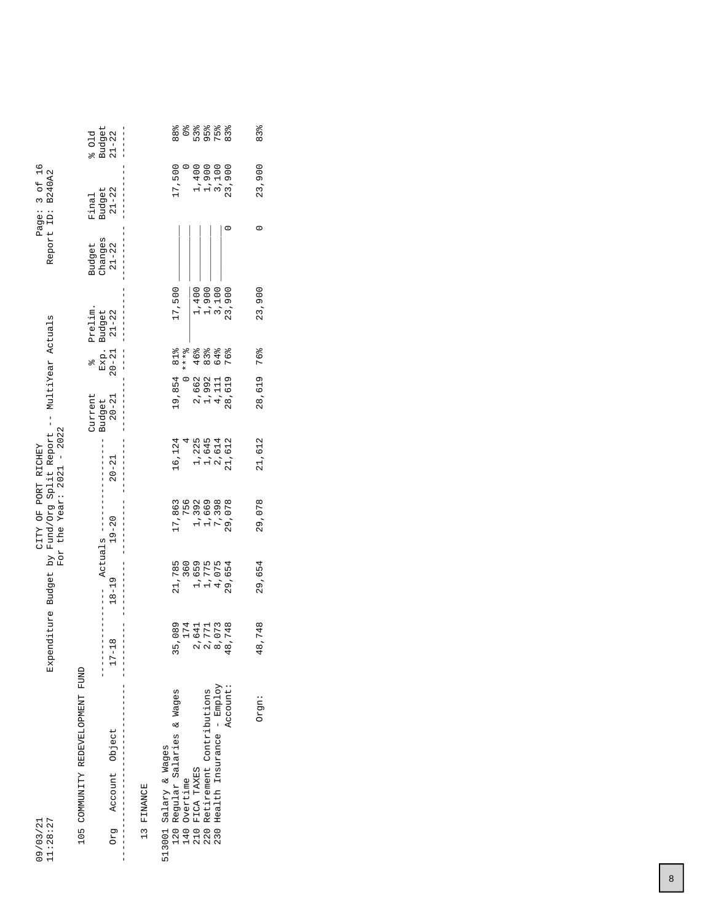| 11:28:27<br>09/03/21                                     |                                       |                         | CITY OF PORT RICHEY     | Expenditure Budget by Fund/Org Split Report --<br>For the Year: $2021 - 2022$ |                     | MultiYear Actuals |                 |                      | Page: 3 of 16<br>Report ID: B240A2 |                     |
|----------------------------------------------------------|---------------------------------------|-------------------------|-------------------------|-------------------------------------------------------------------------------|---------------------|-------------------|-----------------|----------------------|------------------------------------|---------------------|
| 105 COMMUNITY REDEVELOPMENT FUND                         |                                       |                         |                         |                                                                               | Current             | $\frac{1}{2}$     | Prelim.         | Budget               | Final                              | 601d                |
| Account Object<br>Drg                                    | $\infty$<br>$\frac{1}{1}$<br>$17 - 1$ | $18 - 19$               | $19 - 20$<br>Actuals -- | $20 - 21$                                                                     | $20 - 21$<br>Budget | $20 - 21$<br>Exp. | Budget<br>21-22 | changes<br>$21 - 22$ | $21 - 22$<br>Budget                | Budget<br>$21 - 22$ |
| 13 FINANCE                                               |                                       |                         |                         |                                                                               |                     |                   |                 |                      |                                    |                     |
| Regular Salaries & Wages<br>513001 Salary & Wages<br>120 |                                       | 21,785                  | 17,863                  | 16,124                                                                        | 19,854              | 81%               | 17,500          |                      | 17,500                             | 889                 |
| Overtime<br>140                                          | 35,089                                | 360                     | 756                     |                                                                               |                     | $* * * 8$         |                 |                      |                                    | $\frac{1}{2}$       |
| FICA TAXES<br>210                                        | 174<br>2,641<br>2,771<br>8,073        |                         | 1,392                   |                                                                               | 2,662               | 46%               | 1,400           |                      | 1,400                              | 53%                 |
| Retirement Contributions<br>220                          |                                       | 1,659<br>1,775<br>4,075 | 1,669                   |                                                                               | 1,992               | $83\%$            |                 |                      |                                    | $95\frac{8}{6}$     |
| Health Insurance - Employ<br>230                         |                                       |                         | 7,398                   | 1,225<br>1,645<br>2,614                                                       | 4,111               | 64%               | 1,900<br>3,100  |                      | 1,900<br>3,100                     | 75%                 |
| Account:                                                 | 8,748<br>₩                            | 29,654                  | 29,078                  | 11,612                                                                        | 28,619              | 76%               | 23,900          |                      | 23,900                             | $83\frac{9}{6}$     |
| Orgn:                                                    | 48,748                                | 29,654                  | 29,078                  | 21,612                                                                        | 28,619              | 76%               | 23,900          | 0                    | 23,900                             | 83%                 |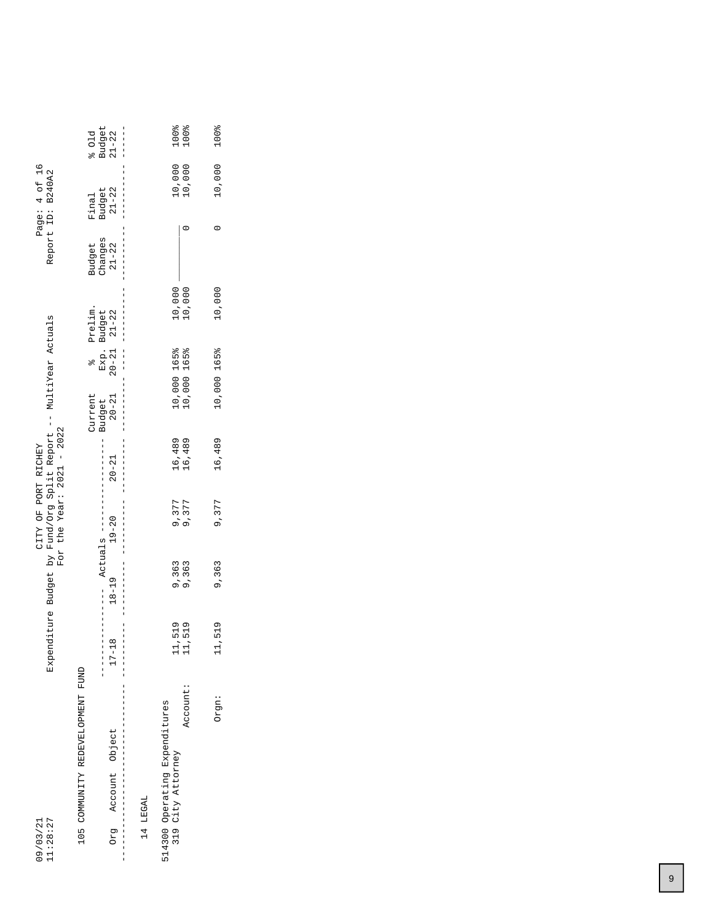|                                                                  | $\begin{array}{c} \texttt{Budget} \\ 21-22 \end{array}$<br>501d |                                            |          |                                                    | 100%<br>100%               | 100%        |
|------------------------------------------------------------------|-----------------------------------------------------------------|--------------------------------------------|----------|----------------------------------------------------|----------------------------|-------------|
| Page: 4 of 16<br>Report ID: B240A2                               | Budget<br>Final                                                 | $21 - 22$<br> <br> <br> <br>               |          |                                                    | 10,000<br>10,000           | 10,000      |
|                                                                  | Changes<br>Budget                                               | $21 - 22$<br> <br> <br> <br>               |          |                                                    |                            | $\circ$     |
|                                                                  | Prelim.                                                         | $\frac{1}{1}$                              |          |                                                    | 10,000<br>10,000           | 10,000      |
|                                                                  | Exp. Budget<br>20-21 21-22<br>$\frac{1}{2}$                     | $\begin{array}{c} 1 \\ 1 \\ 1 \end{array}$ |          |                                                    | 10,000 165%<br>10,000 165% | 10,000 165% |
|                                                                  | Current<br>Budget                                               | $20 - 21$                                  |          |                                                    |                            |             |
| For the Year: $2021 - 2022$                                      |                                                                 | $20 - 21$                                  |          | 16,489                                             | 16,489                     | 16,489      |
| CITY OF PORT RICHEY                                              | Actuals ----                                                    | $19 - 20$                                  |          |                                                    | 9,377<br>9,377             | 9,377       |
|                                                                  |                                                                 | $18 - 19$                                  |          | 9,363                                              | 9,363                      | 9,363       |
| Expenditure Budget by Fund/Org Split Report -- MultiYear Actuals | i<br>İ                                                          | $\infty$<br>$17 - 1$<br> <br> <br>         |          | 11,519                                             | 11,519                     | 11,519      |
|                                                                  | 105 COMMUNITY REDEVELOPMENT FUND                                | Account Object                             | 14 LEGAL | 514300 Operating Expenditures<br>319 City Attorney | Account:                   | Orgn:       |
| 11:28:27<br>09/03/21                                             |                                                                 | <b>BJO</b><br> <br> <br> <br>              |          |                                                    |                            |             |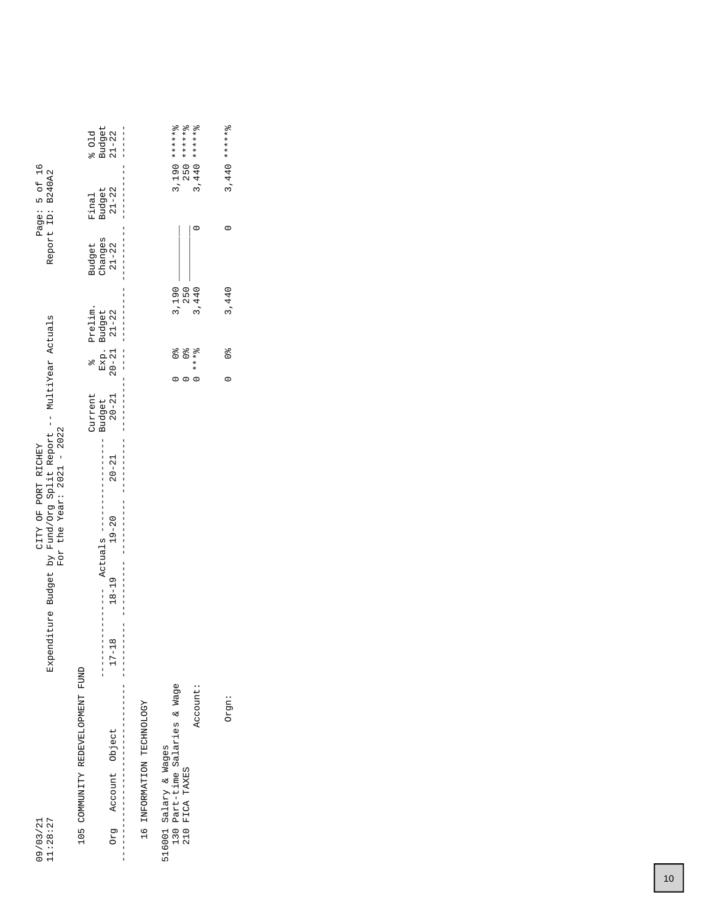|                                                                  | Budget<br>601d                              | $21 - 22$<br>$\frac{1}{1}$                                                         | 3,190 *******8                                         | $3,440$ ******8<br>$250$ ******8 | $3,440$ ******8          |
|------------------------------------------------------------------|---------------------------------------------|------------------------------------------------------------------------------------|--------------------------------------------------------|----------------------------------|--------------------------|
| Page: 5 of 16<br>Report ID: B240A2                               | Budget<br>21-22<br>Final                    |                                                                                    |                                                        |                                  |                          |
|                                                                  | Changes<br>Budget                           | $21 - 22$<br>$\frac{1}{1}$                                                         |                                                        |                                  |                          |
|                                                                  | Prelim.                                     |                                                                                    | 3,190                                                  | 3,440<br>250                     | 3,440                    |
|                                                                  | Exp. Budget<br>20-21 21-22<br>$\frac{1}{2}$ | $\begin{array}{c} \n\downarrow \\ \downarrow \\ \downarrow\n\end{array}$           | olo<br>O                                               | $0 + x + 8$                      | $\frac{1}{2}$<br>$\circ$ |
|                                                                  | Current<br>Budget                           | $20 - 21$                                                                          |                                                        |                                  |                          |
| CITY OF PORT RICHEY                                              | $\frac{1}{1}$                               | $20 - 21$                                                                          |                                                        |                                  |                          |
| For the Year: $2021 - 2022$                                      | $19 - 20$                                   |                                                                                    |                                                        |                                  |                          |
| Expenditure Budget by Fund/Org Split Report -- MultiYear Actuals |                                             | $\frac{1}{1}$ $\frac{1}{1}$ $\frac{1}{1}$ $\frac{1}{1}$ $\frac{1}{1}$<br>$18 - 19$ |                                                        |                                  |                          |
|                                                                  | $\frac{1}{1}$                               | $17 - 18$<br> <br> <br>                                                            |                                                        |                                  |                          |
| 11:28:27<br>09/03/21                                             | 105 COMMUNITY REDEVELOPMENT FUND            | IQ INFORMATION TECHNOLOGY<br>Account Object<br>pra                                 | 130 Part-time Salaries & Wage<br>516001 Salary & Wages | Account:<br>FICA TAXES<br>210    | Orgn:                    |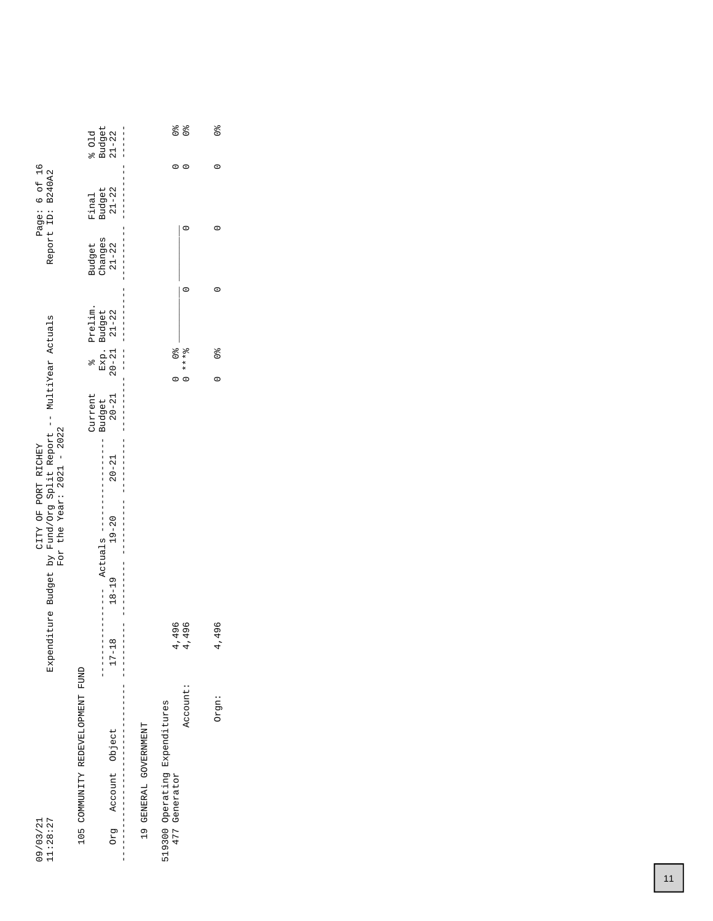| 11:28:27<br>09/03/21                           |                                                                              |                                                                               | Expenditure Budget by Fund/Org Split Report -- MultiYear Actuals<br>For the Year: $2021 - 2022$ | CITY OF PORT RICHEY                                 |                                                          |               |                                                    |                   | Page: 6 of 16<br>Report ID: B240A2 |                          |
|------------------------------------------------|------------------------------------------------------------------------------|-------------------------------------------------------------------------------|-------------------------------------------------------------------------------------------------|-----------------------------------------------------|----------------------------------------------------------|---------------|----------------------------------------------------|-------------------|------------------------------------|--------------------------|
| 105 COMMUNITY REDEVELOPMENT FUND               |                                                                              |                                                                               |                                                                                                 |                                                     | Current                                                  | $\frac{1}{2}$ | Prelim.                                            | Budget<br>Changes | Final                              | 601d                     |
| Account Object<br>pra                          | $\frac{1}{1}$<br>$\frac{1}{1}$<br>$\infty$<br>$17 - 1$<br>$\frac{1}{1}$<br>I | $18 - 19$<br>$\begin{array}{c} 1 \\ 1 \\ 1 \end{array}$<br>$\frac{1}{1}$<br>I | Actuals ----<br>$19 - 20$                                                                       | $\frac{1}{1}$<br> <br> <br> <br> <br> <br>$20 - 21$ | $20 - 21$<br> <br> <br> <br> <br>Budget<br>$\frac{1}{1}$ | <br> <br>     | Exp. Budget<br>20-21 21-22<br> <br> <br> <br> <br> | $21 - 22$         | Budget<br>21-22<br> <br> <br>      | Budget<br>$21 - 22$      |
| 19 GENERAL GOVERNMENT                          |                                                                              |                                                                               |                                                                                                 |                                                     |                                                          |               |                                                    |                   |                                    |                          |
| 519300 Operating Expenditures<br>477 Generator | $-496$<br>4                                                                  |                                                                               |                                                                                                 |                                                     |                                                          | olo<br>O      |                                                    |                   |                                    | o <sub>lo</sub>          |
| Account:                                       | 496<br>4                                                                     |                                                                               |                                                                                                 |                                                     |                                                          | $0 + x + 8$   |                                                    |                   |                                    | $\frac{1}{2}$<br>$\circ$ |
| Orgn:                                          | 496<br>4                                                                     |                                                                               |                                                                                                 |                                                     |                                                          | $\frac{1}{2}$ |                                                    |                   |                                    | $\frac{1}{2}$            |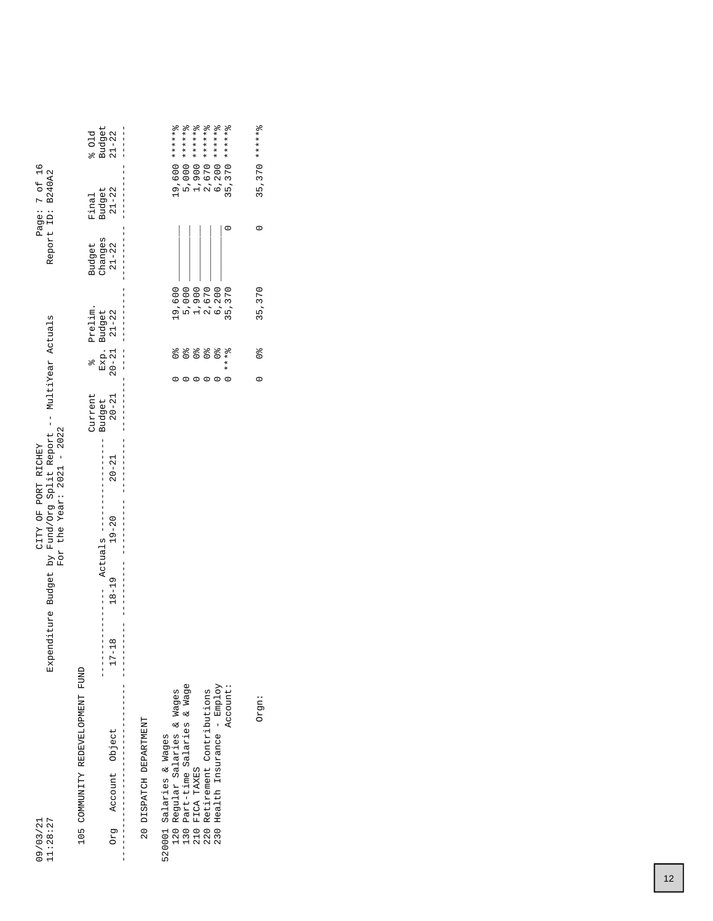| 11:28:27<br>09/03/21                                                  | Expenditure Budget by Fund/Org Split Report -- MultiYear Actuals                 |                          | For the Year: $2021 - 2022$<br>CITY OF PORT RICHEY |                     |           |                   |                                   |                      | Page: 7 of 16<br>Report ID: B240A2 |                                                           |
|-----------------------------------------------------------------------|----------------------------------------------------------------------------------|--------------------------|----------------------------------------------------|---------------------|-----------|-------------------|-----------------------------------|----------------------|------------------------------------|-----------------------------------------------------------|
| 105 COMMUNITY REDEVELOPMENT FUND                                      |                                                                                  |                          |                                                    | Current             |           | $\frac{1}{2}$     | Prelim.                           | Budget               | Final                              | 501d                                                      |
| Account Object<br>Org                                                 | $18 - 19$<br>$\begin{array}{c} 1 \\ 1 \\ 1 \end{array}$<br>$\infty$<br>$17 - 11$ | Actuals ---<br>$19 - 20$ |                                                    | Budget<br>$20 - 21$ | $20 - 21$ | Exp.<br>$20 - 21$ | Budget<br>21-22                   | Changes<br>$21 - 22$ | Budget<br>$21 - 22$                | $\begin{array}{c} \texttt{Budget} \\ 21 - 22 \end{array}$ |
| 20 DISPATCH DEPARTMENT                                                |                                                                                  |                          |                                                    |                     |           |                   |                                   |                      |                                    |                                                           |
| Regular Salaries & Wages<br>520001 Salaries & Wages                   |                                                                                  |                          |                                                    |                     |           |                   | 19,600                            |                      |                                    | 19,600 *******                                            |
| Part-time Salaries & Wage<br>0 0 0 0<br>0 0 0 0<br>1 1 0 0<br>0 1 0 0 |                                                                                  |                          |                                                    |                     |           |                   |                                   |                      |                                    | 5,000 *******                                             |
| FICA TAXES                                                            |                                                                                  |                          |                                                    |                     |           |                   |                                   |                      |                                    | 1,900 *******                                             |
| Retirement Contributions                                              |                                                                                  |                          |                                                    |                     |           |                   |                                   |                      |                                    |                                                           |
| Health Insurance - Employ<br>230                                      |                                                                                  |                          |                                                    |                     |           |                   | 5,000<br>12,670<br>6,200<br>6,200 |                      |                                    | $2,670$ ******8<br>6,200 ******8                          |
| Account:                                                              |                                                                                  |                          |                                                    |                     |           | $* * * *$         | 35,370                            |                      |                                    | $35,370$ ******8                                          |
| Orgn:                                                                 |                                                                                  |                          |                                                    |                     | $\circ$   | $\frac{1}{2}$     | 35,370                            | $\circ$              |                                    | $35,370$ ******                                           |
|                                                                       |                                                                                  |                          |                                                    |                     |           |                   |                                   |                      |                                    |                                                           |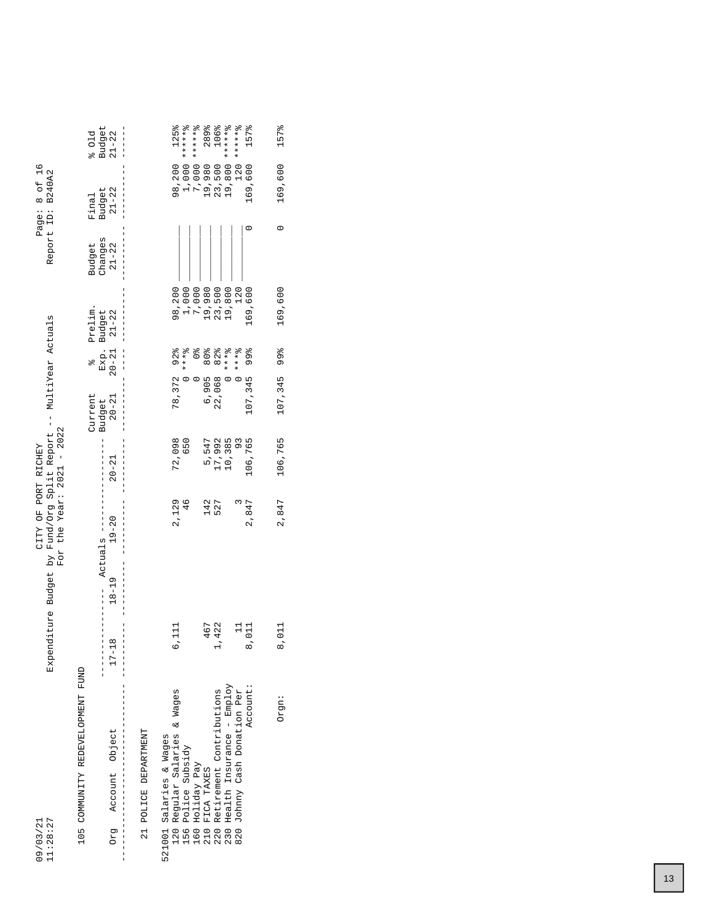|                                                                                                                        | Budget<br>$21 - 22$<br>601d                                         | 125%<br>******<br>7,000 *******<br>289%<br>106%<br>19,800 ******8                                                                                                                                                      | $******$<br>157%                         |
|------------------------------------------------------------------------------------------------------------------------|---------------------------------------------------------------------|------------------------------------------------------------------------------------------------------------------------------------------------------------------------------------------------------------------------|------------------------------------------|
| Page: 8 of 16<br>Report ID: B240A2                                                                                     | $21 - 22$<br>Budget<br>Final                                        | 1,000<br>98,200<br>19,980<br>23,500                                                                                                                                                                                    | $120$ :<br>169,600                       |
|                                                                                                                        | Changes<br>Budget<br>$21 - 22$                                      |                                                                                                                                                                                                                        |                                          |
|                                                                                                                        | Prelim.                                                             | 98,200<br>1,000<br>7,000<br>19,980<br>23,500<br>19,800                                                                                                                                                                 | 169,600<br>120                           |
|                                                                                                                        | $20 - 21$ $21 - 22$<br>Exp. Budget<br>olo                           | $0***0$<br>$0***0$<br>$\frac{1}{\sqrt{6}}$<br>80%<br>82%                                                                                                                                                               | $* * * 8$                                |
|                                                                                                                        | Current<br>$20 - 21$<br>Budget                                      | 78, 372 92%<br>6,905<br>22,068<br>$\circ$                                                                                                                                                                              | 107,345 99%                              |
|                                                                                                                        | $20 - 21$                                                           | 72,098<br>17,992<br>5,547<br>10,385<br>650                                                                                                                                                                             | 106,765<br>$\frac{3}{2}$                 |
| Expenditure Budget by Fund/Org Split Report -- MultiYear Actuals<br>For the Year: $2021 - 2022$<br>CITY OF PORT RICHEY | $19 - 20$<br>Actuals --                                             | 2,129<br>142<br>$\frac{6}{4}$<br>527                                                                                                                                                                                   | 2,847                                    |
|                                                                                                                        | $18 - 19$                                                           |                                                                                                                                                                                                                        |                                          |
|                                                                                                                        | $17 - 18$                                                           | 467<br>422<br>111<br>O                                                                                                                                                                                                 | $\overline{a}$<br>011<br>$\dot{\circ}$   |
| 11:28:27<br>09/03/21                                                                                                   | 105 COMMUNITY REDEVELOPMENT FUND<br>Object<br>Account<br><b>Drg</b> | 220 Retirement Contributions<br>230 Health Insurance - Employ<br>120 Regular Salaries & Wages<br>21 POLICE DEPARTMENT<br>521001 Salaries & Wages<br>Police Subsidy<br>Holiday Pay<br>FICA TAXES<br>210 1<br>160<br>156 | Account:<br>820 Johnny Cash Donation Per |

Orgn: 8,011 2,847 106,765 107,345 99% 169,600 0 169,600 157%

2,847

8,011

Orgn:

106,765

157%

169,600

 $\circ$ 

169,600

99%

107,345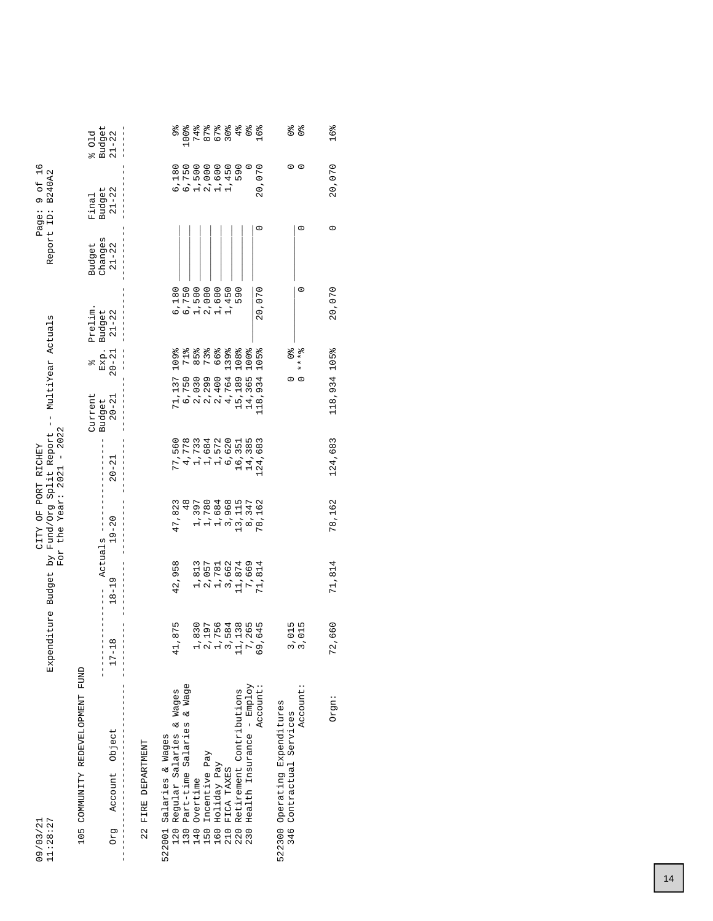| 11:28:27<br>09/03/21                                          | Expenditure Budget | i kq                      | For the Year: $2021 - 2022$<br>CITY OF PORT RICHEY | Fund/Org Split Report -- | MultiYear Actuals   |                   |                 |                      | 9 0f 16<br>Report ID: B240A2<br>Page:                   |                        |
|---------------------------------------------------------------|--------------------|---------------------------|----------------------------------------------------|--------------------------|---------------------|-------------------|-----------------|----------------------|---------------------------------------------------------|------------------------|
| 105 COMMUNITY REDEVELOPMENT FUND                              |                    |                           |                                                    |                          | Current             | olo               | Prelim.         | <b>Budget</b>        | Final                                                   | 601d                   |
| Account Object<br>Drg                                         | $17 - 18$          | $18 - 19$                 | $19 - 20$<br>Actuals --                            | $20 - 21$                | $20 - 21$<br>Budget | Exp.<br>$20 - 21$ | Budget<br>21-22 | Changes<br>$21 - 22$ | $\begin{array}{c}\n\text{Budget} \\ 21-22\n\end{array}$ | Budget<br>$21 - 22$    |
| FIRE DEPARTMENT<br>22                                         |                    |                           |                                                    |                          |                     |                   |                 |                      |                                                         |                        |
| Salaries & Wages<br>522001                                    |                    |                           |                                                    |                          |                     |                   |                 |                      |                                                         |                        |
| Regular Salaries & Wages<br>120                               | 1,875<br>4         | 42,958                    | 47,823                                             | 77,560                   | 71,137              | 109%              | 6,180           |                      | 6,180                                                   | 9%<br>%                |
| Part-time Salaries & Wage<br>$-30$                            |                    |                           | $\frac{8}{4}$                                      | 4,778                    |                     |                   |                 |                      | 6,750                                                   | 100%                   |
| $-40$                                                         |                    | 1,813                     | 1,397                                              | 1,733                    | 6,750<br>2,030      | $85\frac{8}{9}$   | 6,750<br>1,500  |                      | 1,500                                                   |                        |
| 150                                                           |                    | 2,057                     | 1,780                                              | 1,684                    |                     | 73%               | 2,000           |                      | 2,000                                                   | そうできる<br>セレロの<br>マスクラム |
| 160                                                           |                    | 1,781                     | 1,684                                              | 1,572                    | 2,299<br>2,400      | 66%               | 1,600           |                      | 1,600                                                   |                        |
| Overtime<br>Incentive Pay<br>Holiday Pay<br>FICA TAXES<br>210 |                    | 3,662                     | 3,968                                              | 6,620                    | 4,764               | 139%              | 450             |                      | 1,450                                                   |                        |
| Retirement Contributions<br>220                               |                    | 11,874<br>7,669<br>71,814 | 13, 115                                            | 16,351                   | 15,189<br>14,365    | 108%              | 590             |                      | 590                                                     | dı<br>Glo              |
| Health Insurance - Employ<br>230                              |                    |                           | 8,347                                              | 14,385                   |                     | 100%              |                 |                      |                                                         | $\frac{1}{26}$         |
| Account:                                                      | ,645<br>ပ္ပ        |                           | 78,162                                             | 124,683                  | 118,934             | 105%              | 20,070          |                      | 20,070<br>$\circ$                                       | 16%                    |
| 522300 Operating Expenditures<br>Contractual Services<br>346  | 3,015              |                           |                                                    |                          |                     |                   |                 |                      | 0                                                       | $\frac{1}{2}$          |
| Account:                                                      | ,015               |                           |                                                    |                          | $\circ$             | $* * * 2$         | $\circ$         |                      | $\circ$<br>$\circ$                                      | $\frac{1}{2}$          |
| Orgn:                                                         | 72,660             | 71,814                    | 78,162                                             | 124,683                  | 118,934 105%        |                   | 20,070          |                      | 20,070<br>$\circ$                                       | 16%                    |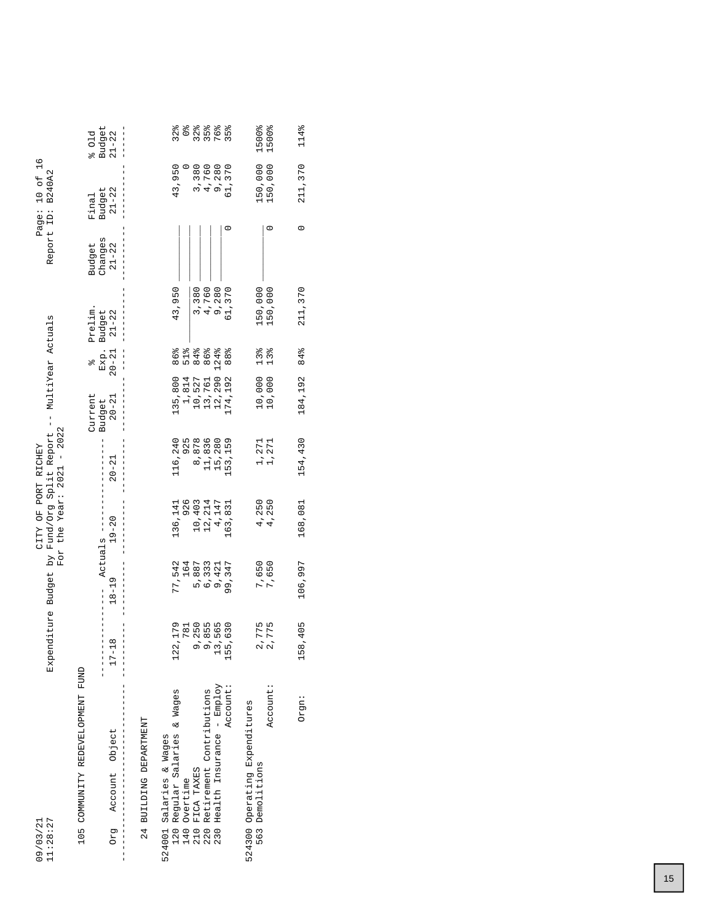| 11:28:27<br>09/03/21                                      | Expenditure Budget | i kq      | CITY OF PORT RICHEY | For the Year: $2021 - 2022$<br>Fund/Org Split Report | MultiYear Actuals<br>$\frac{1}{1}$ |                 |                   | Report ID:        | Page: 10 of 16<br><b>B240A2</b> |                 |
|-----------------------------------------------------------|--------------------|-----------|---------------------|------------------------------------------------------|------------------------------------|-----------------|-------------------|-------------------|---------------------------------|-----------------|
| 105 COMMUNITY REDEVELOPMENT FUND                          |                    |           |                     |                                                      |                                    |                 |                   |                   |                                 |                 |
|                                                           |                    | Actuals - |                     |                                                      | Current<br>Budget                  | Exp.<br>olo     | Prelim.<br>Budget | changes<br>Budget | Budget<br>Final                 | Budget<br>601d  |
| Account Object<br>Drg                                     | $17 - 18$          | $18 - 19$ | $19 - 20$           | $20 - 21$                                            | $20 - 21$                          | $20 - 21$       | $21 - 22$         | $21 - 22$         | $21 - 22$                       | $21 - 22$       |
|                                                           |                    |           |                     |                                                      |                                    |                 |                   |                   |                                 |                 |
| 24 BUILDING DEPARTMENT                                    |                    |           |                     |                                                      |                                    |                 |                   |                   |                                 |                 |
| 524001 Salaries & Wages                                   |                    |           |                     |                                                      |                                    |                 |                   |                   |                                 |                 |
| Regular Salaries & Wages<br>120                           | 122, 179           | 77,542    | 136,141             | 116,240                                              | 135,800                            | 86%             | 43,950            |                   | 43,950                          | $32\frac{8}{6}$ |
| 140                                                       | 781                | 164       | 926                 | 925                                                  | 1,814                              |                 |                   |                   |                                 | $\frac{1}{2}$   |
|                                                           |                    | 5,887     | 10,403              | 8,878                                                | 10,527                             | 84%             | 3,380             |                   | 3,380                           |                 |
| Overtime<br>FICA TAXES<br>Retirement Contributions<br>220 | 9,250<br>9,855     | 6,333     | 12,214              | 11,836                                               | 13,761                             | 86%             | 4,760             |                   | 4,760                           |                 |
| Health Insurance - Employ<br>230                          | 13,565             | 9,421     | 4,147               | 15,280                                               | 12,290                             | 124%            | 9,280             |                   | 9,280                           |                 |
| Account:                                                  | 155,630            | 99,347    | 163,831             | 153,159                                              | 174,192                            | 88%             | 61,370            |                   | 61,370                          | $35\frac{8}{6}$ |
| 524300 Operating Expenditures                             |                    |           |                     |                                                      |                                    |                 |                   |                   |                                 |                 |
| Demolitions<br>563                                        |                    | 7,650     | 4,250               |                                                      | 10,000                             | $13\frac{8}{6}$ | 150,000           |                   | 150,000                         | 1500%           |
| Account:                                                  | 2,775<br>2,775     | 7,650     | 4,250               | 1,271<br>1,271                                       | 10,000                             | 13 <sup>°</sup> | 150,000           | c                 | 150,000                         | 1500%           |
|                                                           |                    |           |                     |                                                      |                                    |                 |                   |                   |                                 |                 |
| Orgn:                                                     | 158,405            | 106,997   | 168,081             | 154,430                                              | 184,192                            | 84%             | 211, 370          | 0                 | 211,370                         | 114%            |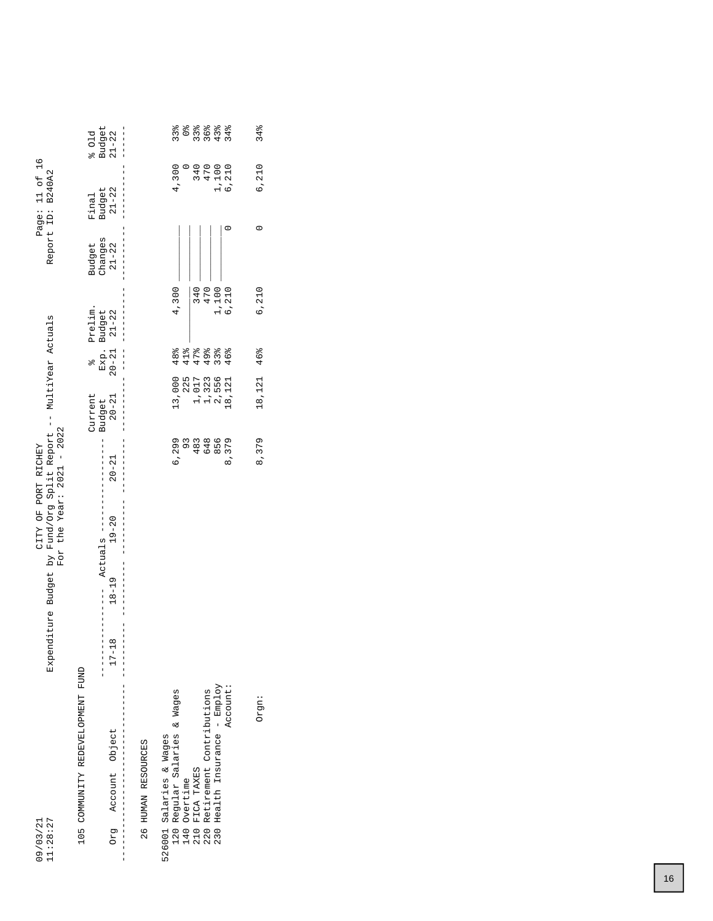| 11:28:27<br>09/03/21                                       | Expenditure Budget by Fund/Org Split Report -- MultiYear Actuals | For the Year: $2021 - 2022$<br>CITY OF PORT RICHEY |           |                                |                          |                                | Report ID:                     | Page: 11 of 16<br><b>B240A2</b> |                             |
|------------------------------------------------------------|------------------------------------------------------------------|----------------------------------------------------|-----------|--------------------------------|--------------------------|--------------------------------|--------------------------------|---------------------------------|-----------------------------|
| 105 COMMUNITY REDEVELOPMENT FUND<br>Account Object<br>pra  | $18 - 19$<br>$\infty$<br>$\frac{1}{1}$<br>$17 - 1$               | Actuals ----<br>$19 - 20$                          | $20 - 21$ | Current<br>$20 - 21$<br>Budget | $20 - 21$<br>Exp.<br>olo | Prelim.<br>$21 - 22$<br>Budget | Changes<br>Budget<br>$21 - 22$ | $21 - 22$<br>Budget<br>Final    | Budget<br>801d<br>$21 - 22$ |
| 26 HUMAN RESOURCES                                         |                                                                  |                                                    |           |                                |                          |                                |                                |                                 |                             |
| Regular Salaries & Wages<br>526001 Salaries & Wages<br>120 |                                                                  |                                                    | 6,299     | 13,000                         | 48%                      | 4,300                          |                                | 4,300                           | 33%                         |
| Overtime<br>140<br>210                                     |                                                                  |                                                    | 93        | 225                            | 41%                      |                                |                                |                                 | $\frac{1}{2}$               |
| FICA TAXES                                                 |                                                                  |                                                    | 483       | 1,017                          | 47%                      | 340                            |                                |                                 | $33\frac{9}{6}$             |
| Retirement Contributions<br>220                            |                                                                  |                                                    | 648       | 1,323                          | 49%                      | 470                            |                                | 340<br>470                      | 36%                         |
| 230 Health Insurance - Employ                              |                                                                  |                                                    | 856       | 2,556                          | 33%                      | 1,100                          |                                | 1,100<br>6,210                  | 43%                         |
| Account:                                                   |                                                                  |                                                    | 8,379     | .8, 121                        | 46%                      | 6,210                          |                                |                                 | 34%                         |
|                                                            |                                                                  |                                                    |           |                                |                          |                                |                                |                                 |                             |
| Orgn:                                                      |                                                                  |                                                    | 8,379     | 18,121                         | 46%                      | 6,210                          | 0                              | 6,210                           | 34%                         |
|                                                            |                                                                  |                                                    |           |                                |                          |                                |                                |                                 |                             |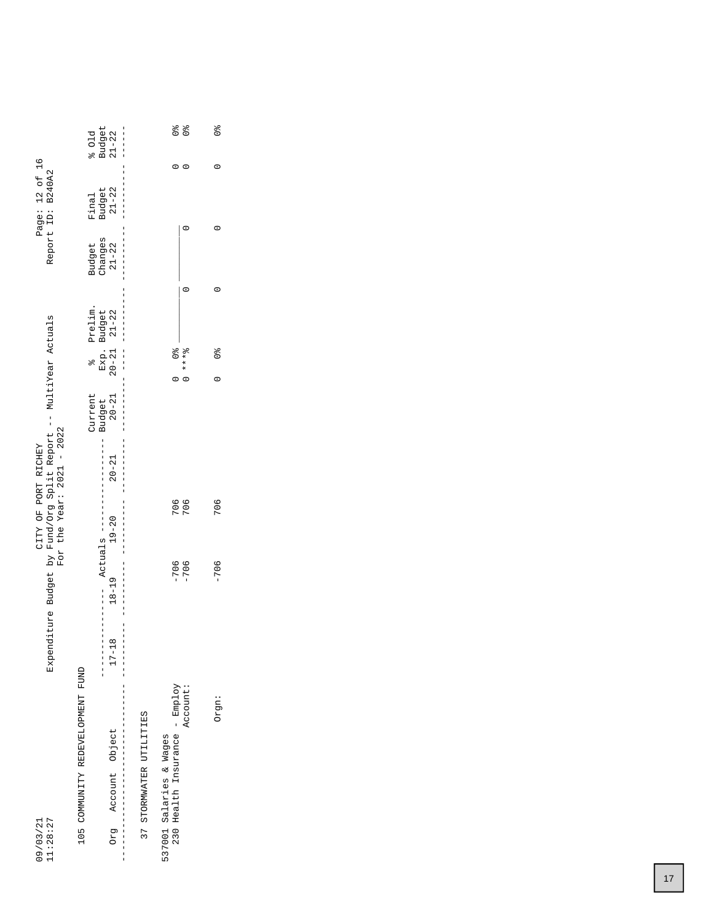|                                                                  | Budget<br>601d                                                                                                                                                                                                                                                                                                      | $21 - 22$                                                                     |                         | $\frac{1}{2}$                                            | $\frac{1}{2}$    | o<br>O        |
|------------------------------------------------------------------|---------------------------------------------------------------------------------------------------------------------------------------------------------------------------------------------------------------------------------------------------------------------------------------------------------------------|-------------------------------------------------------------------------------|-------------------------|----------------------------------------------------------|------------------|---------------|
| Page: 12 of 16<br>Report ID: B240A2                              | Final                                                                                                                                                                                                                                                                                                               | Budget<br>21-22                                                               |                         |                                                          |                  | c             |
|                                                                  | Budget                                                                                                                                                                                                                                                                                                              | Changes<br>$21-22$                                                            |                         |                                                          |                  | c             |
|                                                                  | Prelim.                                                                                                                                                                                                                                                                                                             | <br> <br> <br>                                                                |                         |                                                          |                  |               |
|                                                                  | $\frac{1}{2}$                                                                                                                                                                                                                                                                                                       | Exp. Budget<br>20-21 21-22<br>$\begin{array}{c} 1 \\ 1 \\ 1 \\ 1 \end{array}$ |                         | $\frac{1}{2}$                                            | $* * * *$        | olo<br>O<br>C |
|                                                                  | Current<br>Budget                                                                                                                                                                                                                                                                                                   | $20 - 21$                                                                     |                         |                                                          |                  |               |
| CITY OF PORT RICHEY                                              | $\frac{1}{2}$ $\frac{1}{2}$ $\frac{1}{2}$ $\frac{1}{2}$ $\frac{1}{2}$ $\frac{1}{2}$ $\frac{1}{2}$ $\frac{1}{2}$ $\frac{1}{2}$ $\frac{1}{2}$ $\frac{1}{2}$ $\frac{1}{2}$ $\frac{1}{2}$ $\frac{1}{2}$ $\frac{1}{2}$ $\frac{1}{2}$ $\frac{1}{2}$ $\frac{1}{2}$ $\frac{1}{2}$ $\frac{1}{2}$ $\frac{1}{2}$ $\frac{1}{2}$ | $20 - 21$                                                                     |                         |                                                          |                  |               |
| For the Year: $2021 - 2022$                                      |                                                                                                                                                                                                                                                                                                                     | $19 - 20$                                                                     |                         |                                                          | 706<br>706       | 706           |
| Expenditure Budget by Fund/Org Split Report -- MultiYear Actuals | $A - - - - - -$                                                                                                                                                                                                                                                                                                     | $18 - 19$                                                                     |                         |                                                          | $-706$<br>$-706$ | $-706$        |
|                                                                  | $\frac{1}{1}$                                                                                                                                                                                                                                                                                                       | $\infty$<br>ļ<br>I<br>$17 - 1$                                                |                         |                                                          |                  |               |
| 11:28:27<br>09/03/21                                             | 105 COMMUNITY REDEVELOPMENT FUND                                                                                                                                                                                                                                                                                    | Account Object<br><b>BJO</b>                                                  | 37 STORMWATER UTILITIES | 230 Health Insurance - Employ<br>537001 Salaries & Wages | Account:         | Orgn:         |
|                                                                  |                                                                                                                                                                                                                                                                                                                     | <br> <br>                                                                     |                         |                                                          |                  |               |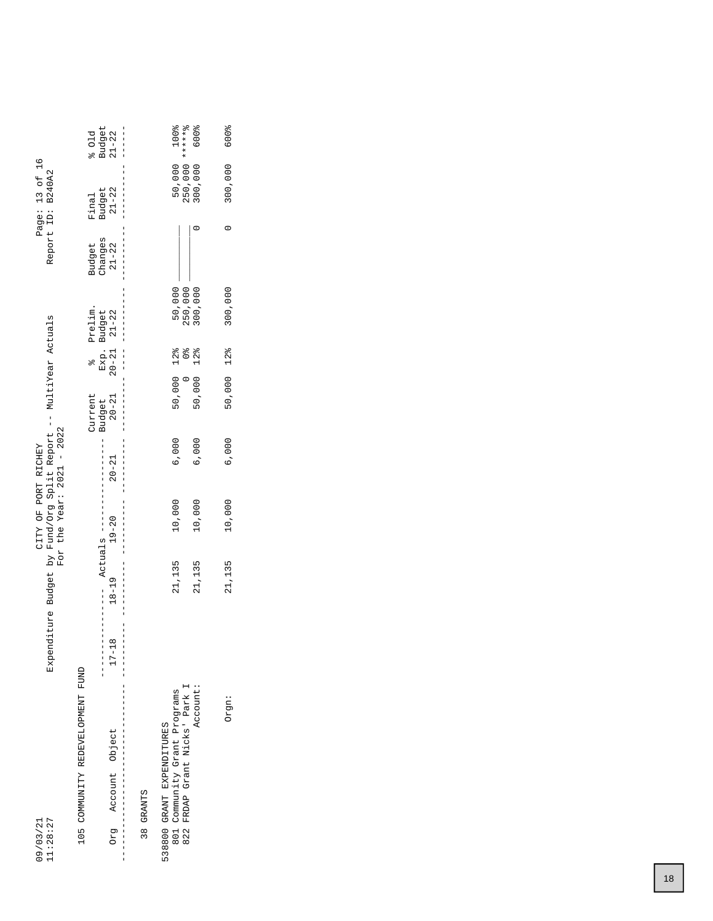|                                                                  | 501d                             | Budget<br>$\frac{1}{1}$<br>$21 - 22$        |               | 100%                                                                               | 600%            | <b>600%</b>     |
|------------------------------------------------------------------|----------------------------------|---------------------------------------------|---------------|------------------------------------------------------------------------------------|-----------------|-----------------|
| Page: 13 of 16<br>Report ID: B240A2                              | Final                            | Budget<br>21-22                             |               | 250,000 *******<br>50,000                                                          | 800,000         | 300,000         |
|                                                                  | Budget                           | Changes<br>$21 - 22$                        |               |                                                                                    |                 | 0               |
|                                                                  | Prelim.                          | Exp. Budget<br>20-21 21-22<br>$\frac{1}{1}$ |               | 50,000<br>250,000                                                                  | 300,000         | 300,000         |
|                                                                  | $\frac{1}{2}$                    | Exp. 1<br>$\frac{1}{1}$                     |               | $\frac{1}{2}$                                                                      | $12\frac{8}{6}$ | $12\frac{8}{6}$ |
|                                                                  | Current                          | $20 - 21$<br>Budget                         |               | 50,000 12%                                                                         | 50,000          | 50,000          |
|                                                                  |                                  | <br>             <br>     <br>$20 - 21$     |               | 6,000                                                                              | 6,000           | 6,000           |
| For the Year: $2021 - 2022$<br>CITY OF PORT RICHEY               |                                  | I<br>$19 - 20$                              |               | 10,000                                                                             | 10,000          | 10,000          |
| Expenditure Budget by Fund/Org Split Report -- MultiYear Actuals |                                  | $ActualS$ $---$<br>$18 - 19$                |               | 21,135                                                                             | 21,135          | 21,135          |
|                                                                  |                                  | $\frac{1}{1}$<br>$\infty$<br>$17 - 1$       |               |                                                                                    |                 |                 |
|                                                                  | 105 COMMUNITY REDEVELOPMENT FUND | Account Object                              | <b>GRANTS</b> | FRDAP Grant Nicks' Park I<br>Community Grant Programs<br>538800 GRANT EXPENDITURES | Account:        | Orgn:           |
| 11:28:27<br>09/03/21                                             |                                  | <b>Drg</b><br> <br> <br>                    | ო<br>ო        | 801<br>822                                                                         |                 |                 |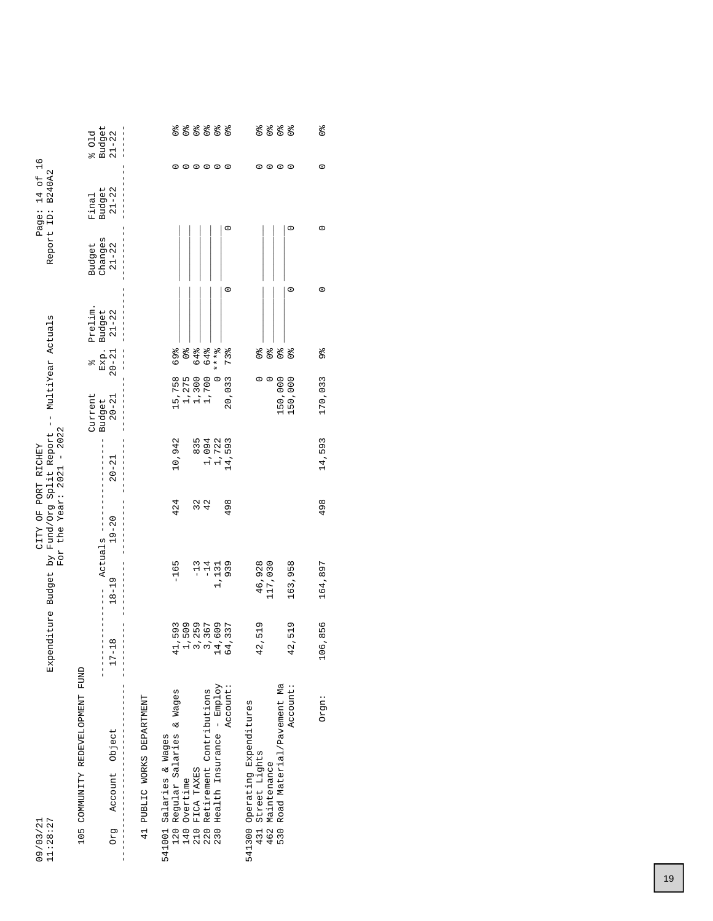| 11:28:27<br>09/03/21                                       | Expenditure Budget                                   | i kq              | For the Year: $2021 - 2022$<br>CITY OF PORT RICHEY | Fund/Org Split Report -- MultiYear Actuals |                          |                                         |                 | Report ID:           | B240A2<br>$14$ of<br>Page: | $\frac{6}{1}$                  |
|------------------------------------------------------------|------------------------------------------------------|-------------------|----------------------------------------------------|--------------------------------------------|--------------------------|-----------------------------------------|-----------------|----------------------|----------------------------|--------------------------------|
| 105 COMMUNITY REDEVELOPMENT FUND                           |                                                      |                   |                                                    |                                            | Current                  | olo                                     | Prelim.         | Budget               | Final                      | 601d                           |
| Account Object<br>Drg                                      | $^{\circ}$<br>$17 - 11$                              | $18 - 19$         | $19 - 20$<br>Actuals ---                           | $20 - 21$                                  | $20 - 21$<br>Budget      | Exp.<br>$20 - 21$                       | Budget<br>21-22 | Changes<br>$21 - 22$ | Budget<br>21-22            | Budget<br>$21 - 22$            |
| 41 PUBLIC WORKS DEPARTMENT                                 |                                                      |                   |                                                    |                                            |                          |                                         |                 |                      |                            |                                |
| Regular Salaries & Wages<br>541001 Salaries & Wages<br>120 | 11,593<br>4                                          | $-165$            | 424                                                | 10,942                                     |                          | 69%                                     |                 |                      | 0                          | $\frac{1}{2}$                  |
| Overtime<br>140                                            |                                                      |                   |                                                    |                                            | 15,758<br>1,275<br>1,300 | $\frac{1}{2}$                           |                 |                      |                            | $\frac{1}{2}$                  |
|                                                            | 1<br>1<br>1 2 3 4 4<br>1 3 4 4<br>1 3 4 4<br>1 6 4 4 | $-13$             |                                                    | 835                                        |                          | 64%                                     |                 |                      | $\circ \circ \circ \circ$  | $\frac{1}{96}$                 |
| FICA TAXES<br>Retirement Contributions<br>210<br>220       |                                                      | $-14$             | 32<br>42                                           | 1,094                                      | 1,700                    | 64%                                     |                 |                      |                            | $\frac{6}{9}$                  |
| Health Insurance - Employ<br>230                           |                                                      | 1,131             |                                                    | 1,722                                      | $\circ$                  | $* * * 2$                               |                 |                      |                            | $\frac{6}{9}$                  |
| Account:                                                   |                                                      | 939               | 498                                                | 14,593                                     | 20,033                   | 73%                                     | $\circ$         |                      | $\circ$<br>c               | $\frac{1}{2}$                  |
| 541300 Operating Expenditures                              |                                                      |                   |                                                    |                                            |                          |                                         |                 |                      |                            |                                |
| 431 Street Lights<br>462 Maintenance                       | 2,519<br>م.<br>ط                                     | 46,928<br>117,030 |                                                    |                                            | $\circ$                  | $\frac{9}{6}$                           |                 |                      | $\circ$                    | $\frac{1}{2}$<br>$\frac{1}{2}$ |
| Road Material/Pavement Ma<br>530                           |                                                      |                   |                                                    |                                            | 150,000                  | $\frac{1}{2}$<br>$\mathcal{O}_\text{Q}$ |                 |                      | $\circ$ $\circ$            | o<br>O                         |
| Account:                                                   | ,519<br>42                                           | 163,958           |                                                    |                                            | 150,000                  | $\frac{1}{2}$                           | $\circ$         | $\circ$              | $\circ$                    | $\frac{1}{2}$                  |
| Orgn:                                                      | 106,856                                              | 164,897           | 498                                                | 14,593                                     | 170,033                  | 96                                      | $\circ$         |                      | $\circ$<br>$\circ$         | o <sub>o</sub>                 |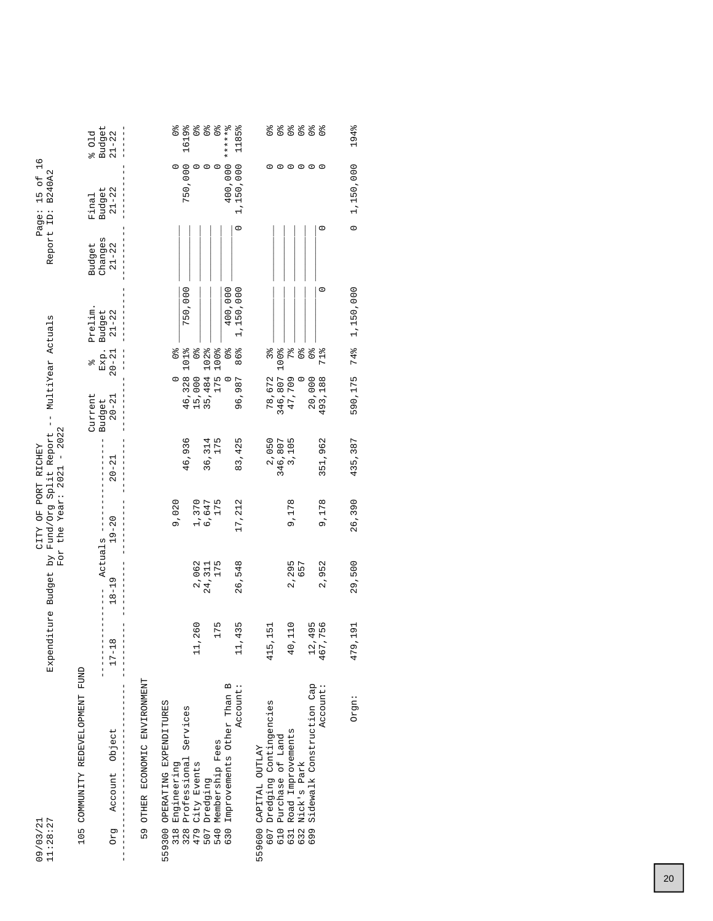| 11:28:27<br>09/03/21                                  | Expenditure Budget     |                      | For the Year: $2021 - 2022$<br>by Fund/Org Split Report<br>CITY OF PORT RICHEY |                  | MultiYear Actuals<br>$\frac{1}{1}$ |                         |                     |                      | $\frac{8}{1}$<br>Report ID: B240A2<br>15 of<br>Page: |                                  |
|-------------------------------------------------------|------------------------|----------------------|--------------------------------------------------------------------------------|------------------|------------------------------------|-------------------------|---------------------|----------------------|------------------------------------------------------|----------------------------------|
| 105 COMMUNITY REDEVELOPMENT FUND                      |                        |                      |                                                                                |                  | Current                            | olo                     | Prelim.             | Budget               | Final                                                | 601d                             |
| Account Object<br>Drg                                 | $17 - 18$              | Actuals<br>$18 - 19$ | $19 - 20$                                                                      | $20 - 21$        | $20 - 21$<br>Budget                | Exp.<br>$20 - 21$       | Budget<br>$21 - 22$ | Changes<br>$21 - 22$ | Budget<br>$21 - 22$                                  | Budget<br>$21 - 22$              |
| OTHER ECONOMIC ENVIRONMENT<br>59                      |                        |                      |                                                                                |                  |                                    |                         |                     |                      |                                                      |                                  |
| OPERATING EXPENDITURES<br>559300<br>318               |                        |                      | 9,020                                                                          |                  | $\circ$                            | $\frac{1}{2}$           |                     |                      |                                                      | $\frac{1}{2}$                    |
| Engineering<br>Professional Services<br>328           |                        |                      |                                                                                | 46,936           | 46,328                             | 101%                    | 750,000             |                      | 750,000                                              | 1619%                            |
| 479                                                   | 11,260                 | 2,062                | 1,370                                                                          |                  | 15,000                             | $\frac{1}{2}$           |                     |                      | 0                                                    | $\frac{1}{2}$                    |
| City Events<br>Dredging<br>507                        |                        | 24,311               | 6,647                                                                          | 36,314           | 35,484                             | 102%                    |                     |                      | $\circ$                                              | $\frac{1}{2}$                    |
| 540 Membership Fees                                   | 175                    | 175                  | 175                                                                            | 175              | 175                                | 100%                    |                     |                      | $\circ$                                              | $\frac{1}{2}$                    |
| Improvements Other Than B<br>630                      |                        |                      |                                                                                |                  | $\circ$                            | $\frac{1}{\sqrt{6}}$    | 400,000             |                      | 400,000                                              | ******%                          |
| Account:                                              | ,435                   | 26,548               | 17, 212                                                                        | 83,425           | 96,987                             | 86%                     | 1,150,000           | $\circ$              | 1,150,000                                            | 1185%                            |
| 559600 CAPITAL OUTLAY                                 |                        |                      |                                                                                |                  |                                    |                         |                     |                      |                                                      |                                  |
| 607 Dredging Contingencies<br>Purchase of Land<br>610 | 415,151                |                      |                                                                                | 2,050<br>346,807 | 346,807<br>78,672                  | 100%<br>3%              |                     |                      |                                                      | $\frac{6}{90}$<br>$\frac{1}{96}$ |
| Road Improvements<br>631                              | 0,110<br>₹             | 2,295                | 9,178                                                                          | 3,105            | 47,709                             | 7%                      |                     |                      | $\circ$                                              | $\frac{1}{2}$                    |
| Nick's Park<br>632                                    |                        | 657                  |                                                                                |                  | $\circ$                            | $\mathcal{O}_\text{lo}$ |                     |                      | $\circ$                                              | $\frac{1}{2}$                    |
| Sidewalk Construction Cap<br>699                      | 12,495                 |                      |                                                                                |                  | 20,000                             | $\frac{1}{2}$           |                     |                      |                                                      | $\frac{1}{2}$                    |
| Account:                                              | ,756<br>$46^{\degree}$ | 2,952                | 9,178                                                                          | 351,962          | 493,188                            | 71%                     | $\circ$             | $\circ$              | $\circ$                                              | $\frac{1}{2}$                    |
| Orgn:                                                 | 479,191                | 29,500               | 26,390                                                                         | 435,387          | 590,175                            | 74%                     | 1,150,000           | $\circ$              | 1,150,000                                            | 194%                             |